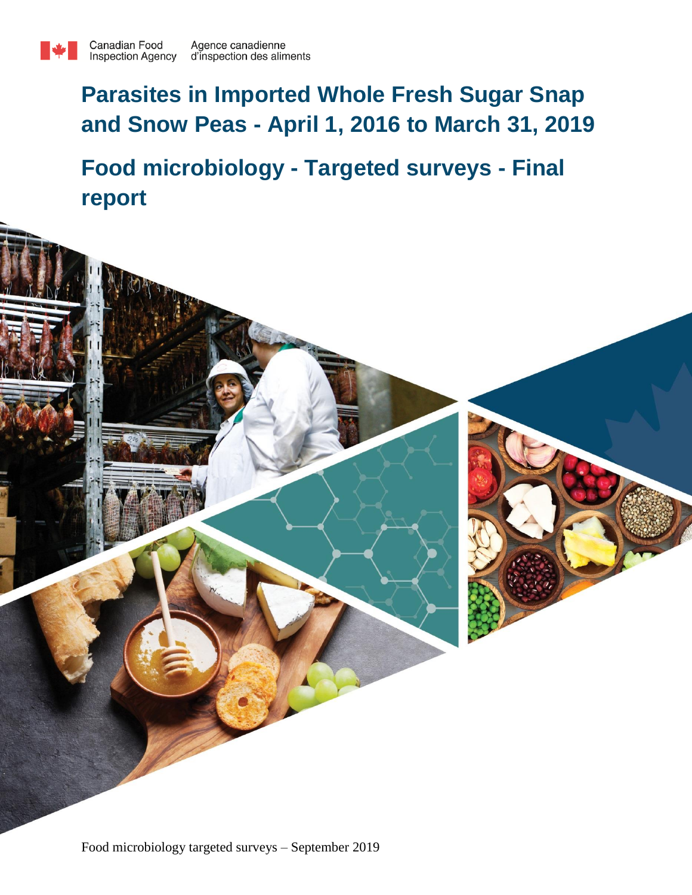

# **Parasites in Imported Whole Fresh Sugar Snap and Snow Peas - April 1, 2016 to March 31, 2019**

**Food microbiology - Targeted surveys - Final report**

Food microbiology targeted surveys – September 2019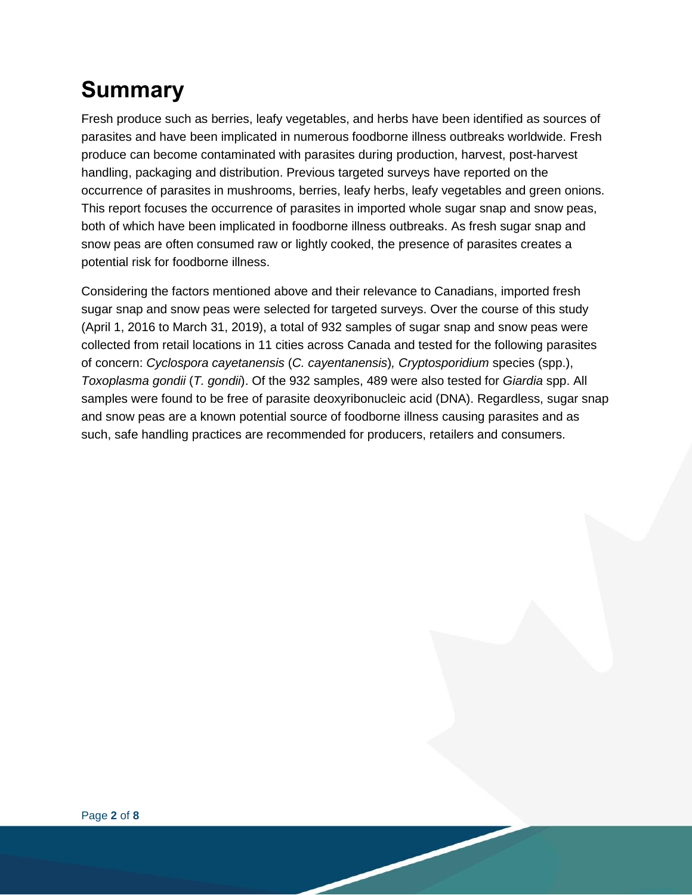# **Summary**

Fresh produce such as berries, leafy vegetables, and herbs have been identified as sources of parasites and have been implicated in numerous foodborne illness outbreaks worldwide. Fresh produce can become contaminated with parasites during production, harvest, post-harvest handling, packaging and distribution. Previous targeted surveys have reported on the occurrence of parasites in mushrooms, berries, leafy herbs, leafy vegetables and green onions. This report focuses the occurrence of parasites in imported whole sugar snap and snow peas, both of which have been implicated in foodborne illness outbreaks. As fresh sugar snap and snow peas are often consumed raw or lightly cooked, the presence of parasites creates a potential risk for foodborne illness.

Considering the factors mentioned above and their relevance to Canadians, imported fresh sugar snap and snow peas were selected for targeted surveys. Over the course of this study (April 1, 2016 to March 31, 2019), a total of 932 samples of sugar snap and snow peas were collected from retail locations in 11 cities across Canada and tested for the following parasites of concern: *Cyclospora cayetanensis* (*C. cayentanensis*)*, Cryptosporidium* species (spp.), *Toxoplasma gondii* (*T. gondii*). Of the 932 samples, 489 were also tested for *Giardia* spp. All samples were found to be free of parasite deoxyribonucleic acid (DNA). Regardless, sugar snap and snow peas are a known potential source of foodborne illness causing parasites and as such, safe handling practices are recommended for producers, retailers and consumers.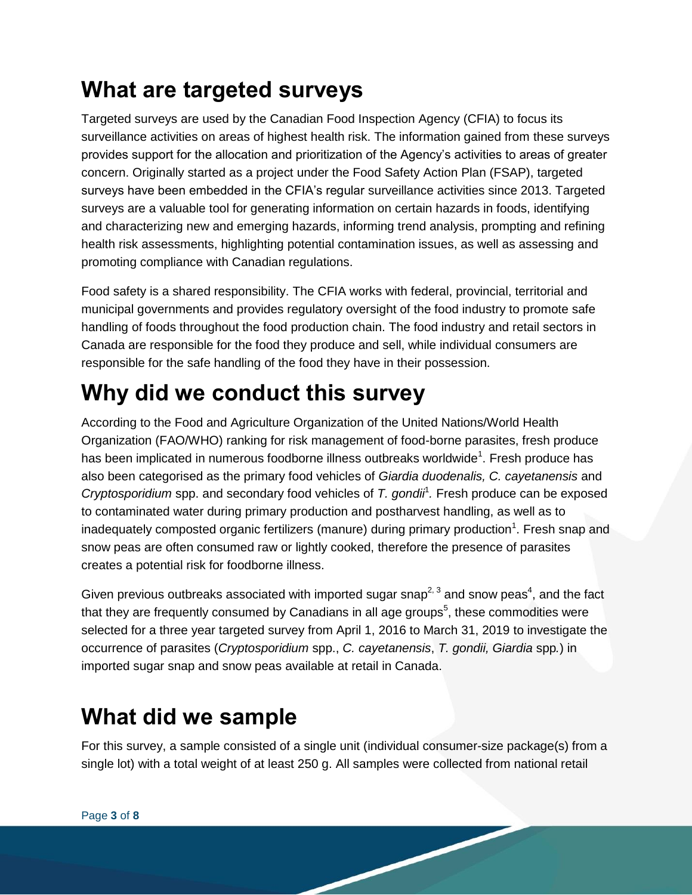### **What are targeted surveys**

Targeted surveys are used by the Canadian Food Inspection Agency (CFIA) to focus its surveillance activities on areas of highest health risk. The information gained from these surveys provides support for the allocation and prioritization of the Agency's activities to areas of greater concern. Originally started as a project under the Food Safety Action Plan (FSAP), targeted surveys have been embedded in the CFIA's regular surveillance activities since 2013. Targeted surveys are a valuable tool for generating information on certain hazards in foods, identifying and characterizing new and emerging hazards, informing trend analysis, prompting and refining health risk assessments, highlighting potential contamination issues, as well as assessing and promoting compliance with Canadian regulations.

Food safety is a shared responsibility. The CFIA works with federal, provincial, territorial and municipal governments and provides regulatory oversight of the food industry to promote safe handling of foods throughout the food production chain. The food industry and retail sectors in Canada are responsible for the food they produce and sell, while individual consumers are responsible for the safe handling of the food they have in their possession.

## **Why did we conduct this survey**

According to the Food and Agriculture Organization of the United Nations/World Health Organization (FAO/WHO) ranking for risk management of food-borne parasites, fresh produce has been implicated in numerous foodborne illness outbreaks worldwide<sup>1</sup>. Fresh produce has also been categorised as the primary food vehicles of *Giardia duodenalis, C. cayetanensis* and *Cryptosporidium* spp. and secondary food vehicles of *T. gondii*<sup>1</sup> *.* Fresh produce can be exposed to contaminated water during primary production and postharvest handling, as well as to inadequately composted organic fertilizers (manure) during primary production<sup>1</sup>. Fresh snap and snow peas are often consumed raw or lightly cooked, therefore the presence of parasites creates a potential risk for foodborne illness.

Given previous outbreaks associated with imported sugar snap<sup>2, 3</sup> and snow peas<sup>4</sup>, and the fact that they are frequently consumed by Canadians in all age groups<sup>5</sup>, these commodities were selected for a three year targeted survey from April 1, 2016 to March 31, 2019 to investigate the occurrence of parasites (*Cryptosporidium* spp., *C. cayetanensis*, *T. gondii, Giardia* spp*.*) in imported sugar snap and snow peas available at retail in Canada.

#### **What did we sample**

For this survey, a sample consisted of a single unit (individual consumer-size package(s) from a single lot) with a total weight of at least 250 g. All samples were collected from national retail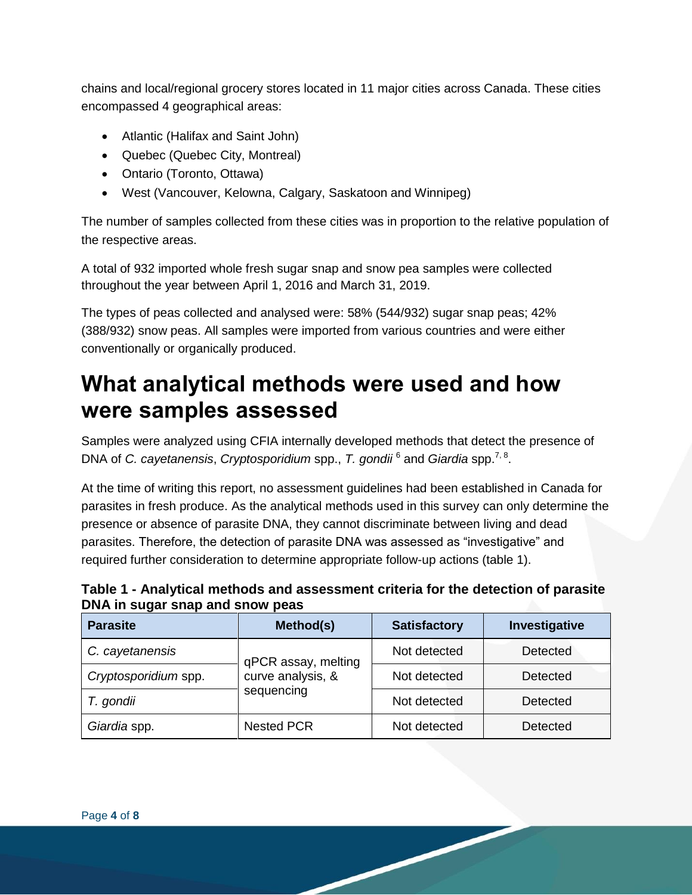chains and local/regional grocery stores located in 11 major cities across Canada. These cities encompassed 4 geographical areas:

- Atlantic (Halifax and Saint John)
- Quebec (Quebec City, Montreal)
- Ontario (Toronto, Ottawa)
- West (Vancouver, Kelowna, Calgary, Saskatoon and Winnipeg)

The number of samples collected from these cities was in proportion to the relative population of the respective areas.

A total of 932 imported whole fresh sugar snap and snow pea samples were collected throughout the year between April 1, 2016 and March 31, 2019.

The types of peas collected and analysed were: 58% (544/932) sugar snap peas; 42% (388/932) snow peas. All samples were imported from various countries and were either conventionally or organically produced.

#### **What analytical methods were used and how were samples assessed**

Samples were analyzed using CFIA internally developed methods that detect the presence of DNA of *C. cayetanensis*, *Cryptosporidium* spp., *T. gondii* <sup>6</sup> and *Giardia* spp.7, 8 .

At the time of writing this report, no assessment guidelines had been established in Canada for parasites in fresh produce. As the analytical methods used in this survey can only determine the presence or absence of parasite DNA, they cannot discriminate between living and dead parasites. Therefore, the detection of parasite DNA was assessed as "investigative" and required further consideration to determine appropriate follow-up actions (table 1).

**Table 1 - Analytical methods and assessment criteria for the detection of parasite DNA in sugar snap and snow peas**

| <b>Parasite</b>      | Method(s)           | <b>Satisfactory</b> | Investigative   |  |
|----------------------|---------------------|---------------------|-----------------|--|
| C. cayetanensis      | qPCR assay, melting | Not detected        | <b>Detected</b> |  |
| Cryptosporidium spp. | curve analysis, &   | Not detected        | Detected        |  |
| T. gondii            | sequencing          | Not detected        | Detected        |  |
| Giardia spp.         | <b>Nested PCR</b>   | Not detected        | Detected        |  |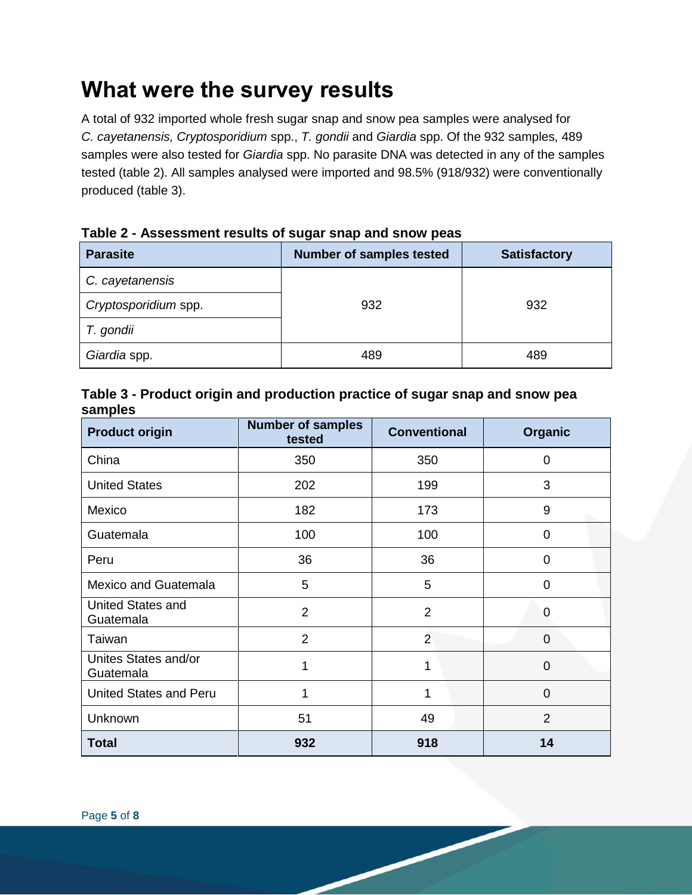#### **What were the survey results**

A total of 932 imported whole fresh sugar snap and snow pea samples were analysed for *C. cayetanensis, Cryptosporidium* spp., *T. gondii* and *Giardia* spp. Of the 932 samples, 489 samples were also tested for *Giardia* spp. No parasite DNA was detected in any of the samples tested (table 2). All samples analysed were imported and 98.5% (918/932) were conventionally produced (table 3).

| <b>Parasite</b>      | <b>Number of samples tested</b> | <b>Satisfactory</b> |  |
|----------------------|---------------------------------|---------------------|--|
| C. cayetanensis      |                                 |                     |  |
| Cryptosporidium spp. | 932                             | 932                 |  |
| T. gondii            |                                 |                     |  |
| Giardia spp.         | 489                             | 489                 |  |

**Table 2 - Assessment results of sugar snap and snow peas**

#### **Table 3 - Product origin and production practice of sugar snap and snow pea samples**

| <b>Product origin</b>             | <b>Number of samples</b><br>tested | <b>Conventional</b> | Organic        |  |
|-----------------------------------|------------------------------------|---------------------|----------------|--|
| China                             | 350<br>350                         |                     | 0              |  |
| <b>United States</b>              | 202                                | 199                 | 3              |  |
| Mexico                            | 182                                | 173                 | 9              |  |
| Guatemala                         | 100                                | 100                 | 0              |  |
| Peru                              | 36                                 | 36                  | 0              |  |
| <b>Mexico and Guatemala</b>       | 5                                  | 5                   | $\overline{0}$ |  |
| United States and<br>Guatemala    | $\overline{2}$                     | $\overline{2}$      | 0              |  |
| Taiwan                            | $\overline{2}$                     | $\overline{2}$      | $\overline{0}$ |  |
| Unites States and/or<br>Guatemala | 1                                  | 1                   | 0              |  |
| <b>United States and Peru</b>     | 1                                  | 1                   | 0              |  |
| Unknown                           | 51                                 | 49                  | $\overline{2}$ |  |
| <b>Total</b>                      | 932                                | 918                 | 14             |  |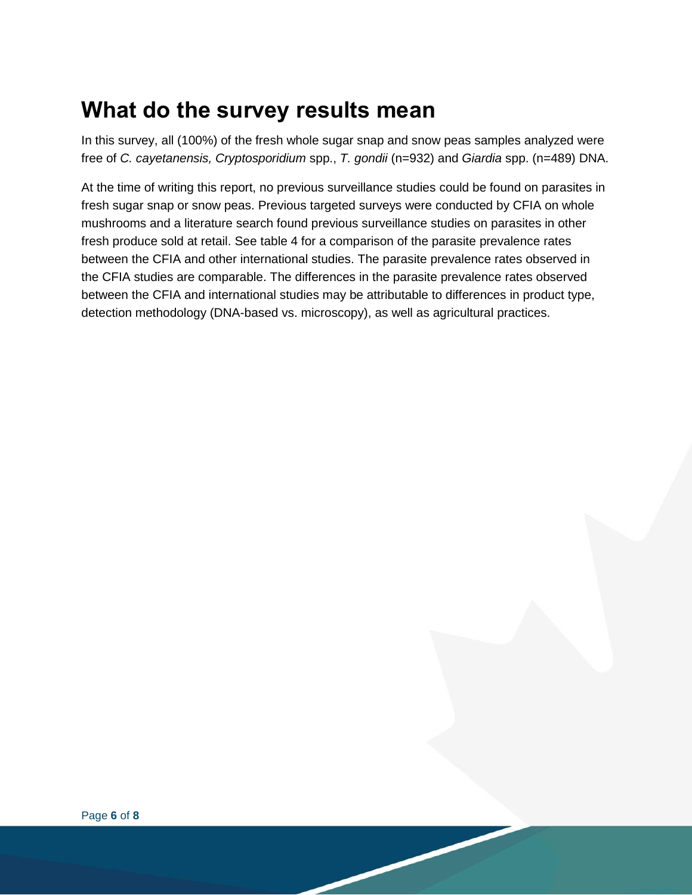#### **What do the survey results mean**

In this survey, all (100%) of the fresh whole sugar snap and snow peas samples analyzed were free of *C. cayetanensis, Cryptosporidium* spp., *T. gondii* (n=932) and *Giardia* spp. (n=489) DNA.

At the time of writing this report, no previous surveillance studies could be found on parasites in fresh sugar snap or snow peas. Previous targeted surveys were conducted by CFIA on whole mushrooms and a literature search found previous surveillance studies on parasites in other fresh produce sold at retail. See table 4 for a comparison of the parasite prevalence rates between the CFIA and other international studies. The parasite prevalence rates observed in the CFIA studies are comparable. The differences in the parasite prevalence rates observed between the CFIA and international studies may be attributable to differences in product type, detection methodology (DNA-based vs. microscopy), as well as agricultural practices.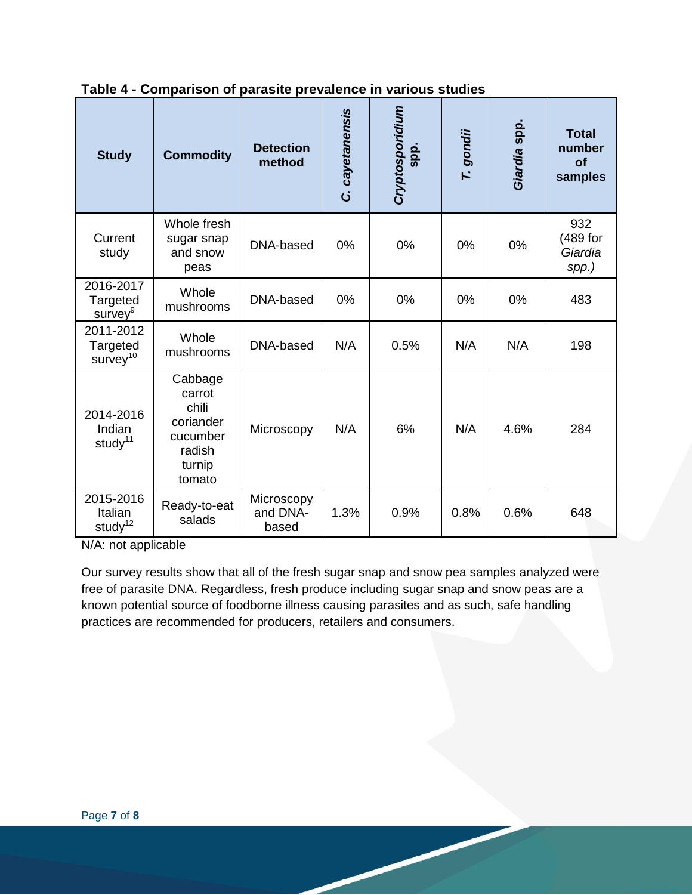| <b>Study</b>                                  | <b>Commodity</b>                                                                  | <b>Detection</b><br>method      | cayetanensis<br>ن | Cryptosporidium<br>spp. | T. gondii | Giardia spp. | <b>Total</b><br>number<br>of<br>samples |
|-----------------------------------------------|-----------------------------------------------------------------------------------|---------------------------------|-------------------|-------------------------|-----------|--------------|-----------------------------------------|
| Current<br>study                              | Whole fresh<br>sugar snap<br>and snow<br>peas                                     | DNA-based                       | 0%                | 0%                      | 0%        | 0%           | 932<br>(489 for<br>Giardia<br>spp.)     |
| 2016-2017<br>Targeted<br>survey <sup>9</sup>  | Whole<br>mushrooms                                                                | DNA-based                       | 0%                | 0%                      | 0%        | 0%           | 483                                     |
| 2011-2012<br>Targeted<br>survey <sup>10</sup> | Whole<br>mushrooms                                                                | DNA-based                       | N/A               | 0.5%                    | N/A       | N/A          | 198                                     |
| 2014-2016<br>Indian<br>study <sup>11</sup>    | Cabbage<br>carrot<br>chili<br>coriander<br>cucumber<br>radish<br>turnip<br>tomato | Microscopy                      | N/A               | 6%                      | N/A       | 4.6%         | 284                                     |
| 2015-2016<br>Italian<br>study <sup>12</sup>   | Ready-to-eat<br>salads                                                            | Microscopy<br>and DNA-<br>based | 1.3%              | 0.9%                    | 0.8%      | 0.6%         | 648                                     |

#### **Table 4 - Comparison of parasite prevalence in various studies**

N/A: not applicable

Our survey results show that all of the fresh sugar snap and snow pea samples analyzed were free of parasite DNA. Regardless, fresh produce including sugar snap and snow peas are a known potential source of foodborne illness causing parasites and as such, safe handling practices are recommended for producers, retailers and consumers.